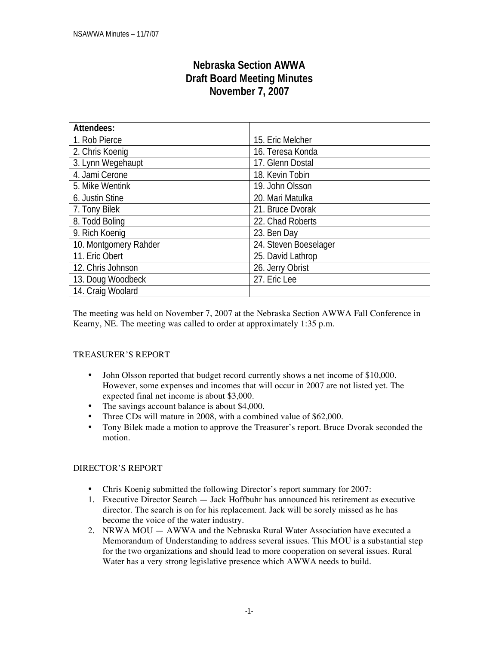# **Nebraska Section AWWA Draft Board Meeting Minutes November 7, 2007**

| <b>Attendees:</b>     |                       |  |  |
|-----------------------|-----------------------|--|--|
| 1. Rob Pierce         | 15. Eric Melcher      |  |  |
| 2. Chris Koenig       | 16. Teresa Konda      |  |  |
| 3. Lynn Wegehaupt     | 17. Glenn Dostal      |  |  |
| 4. Jami Cerone        | 18. Kevin Tobin       |  |  |
| 5. Mike Wentink       | 19. John Olsson       |  |  |
| 6. Justin Stine       | 20. Mari Matulka      |  |  |
| 7. Tony Bilek         | 21. Bruce Dvorak      |  |  |
| 8. Todd Boling        | 22. Chad Roberts      |  |  |
| 9. Rich Koenig        | 23. Ben Day           |  |  |
| 10. Montgomery Rahder | 24. Steven Boeselager |  |  |
| 11. Eric Obert        | 25. David Lathrop     |  |  |
| 12. Chris Johnson     | 26. Jerry Obrist      |  |  |
| 13. Doug Woodbeck     | 27. Eric Lee          |  |  |
| 14. Craig Woolard     |                       |  |  |

The meeting was held on November 7, 2007 at the Nebraska Section AWWA Fall Conference in Kearny, NE. The meeting was called to order at approximately 1:35 p.m.

### TREASURER'S REPORT

- John Olsson reported that budget record currently shows a net income of \$10,000. However, some expenses and incomes that will occur in 2007 are not listed yet. The expected final net income is about \$3,000.
- The savings account balance is about \$4,000.
- Three CDs will mature in 2008, with a combined value of \$62,000.
- Tony Bilek made a motion to approve the Treasurer's report. Bruce Dvorak seconded the motion.

### DIRECTOR'S REPORT

- Chris Koenig submitted the following Director's report summary for 2007:
- 1. Executive Director Search Jack Hoffbuhr has announced his retirement as executive director. The search is on for his replacement. Jack will be sorely missed as he has become the voice of the water industry.
- 2. NRWA MOU AWWA and the Nebraska Rural Water Association have executed a Memorandum of Understanding to address several issues. This MOU is a substantial step for the two organizations and should lead to more cooperation on several issues. Rural Water has a very strong legislative presence which AWWA needs to build.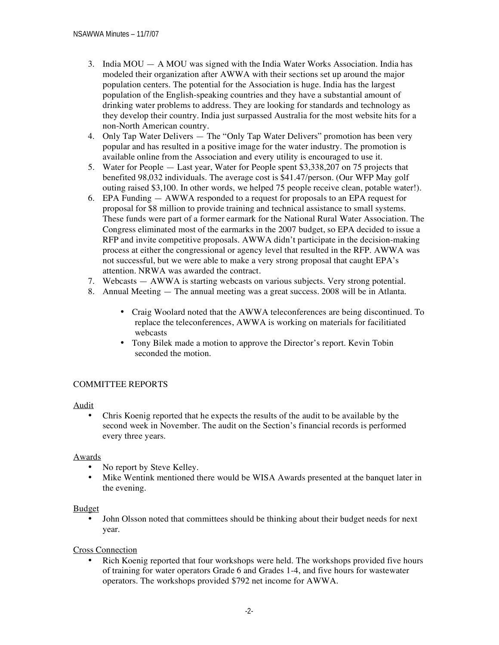- 3. India MOU A MOU was signed with the India Water Works Association. India has modeled their organization after AWWA with their sections set up around the major population centers. The potential for the Association is huge. India has the largest population of the English-speaking countries and they have a substantial amount of drinking water problems to address. They are looking for standards and technology as they develop their country. India just surpassed Australia for the most website hits for a non-North American country.
- 4. Only Tap Water Delivers The "Only Tap Water Delivers" promotion has been very popular and has resulted in a positive image for the water industry. The promotion is available online from the Association and every utility is encouraged to use it.
- 5. Water for People Last year, Water for People spent \$3,338,207 on 75 projects that benefited 98,032 individuals. The average cost is \$41.47/person. (Our WFP May golf outing raised \$3,100. In other words, we helped 75 people receive clean, potable water!).
- 6. EPA Funding AWWA responded to a request for proposals to an EPA request for proposal for \$8 million to provide training and technical assistance to small systems. These funds were part of a former earmark for the National Rural Water Association. The Congress eliminated most of the earmarks in the 2007 budget, so EPA decided to issue a RFP and invite competitive proposals. AWWA didn't participate in the decision-making process at either the congressional or agency level that resulted in the RFP. AWWA was not successful, but we were able to make a very strong proposal that caught EPA's attention. NRWA was awarded the contract.
- 7. Webcasts AWWA is starting webcasts on various subjects. Very strong potential.
- 8. Annual Meeting The annual meeting was a great success. 2008 will be in Atlanta.
	- Craig Woolard noted that the AWWA teleconferences are being discontinued. To replace the teleconferences, AWWA is working on materials for facilitiated webcasts
	- Tony Bilek made a motion to approve the Director's report. Kevin Tobin seconded the motion.

### COMMITTEE REPORTS

Audit

• Chris Koenig reported that he expects the results of the audit to be available by the second week in November. The audit on the Section's financial records is performed every three years.

### Awards

- No report by Steve Kelley.
- Mike Wentink mentioned there would be WISA Awards presented at the banquet later in the evening.

### Budget

• John Olsson noted that committees should be thinking about their budget needs for next year.

### Cross Connection

• Rich Koenig reported that four workshops were held. The workshops provided five hours of training for water operators Grade 6 and Grades 1-4, and five hours for wastewater operators. The workshops provided \$792 net income for AWWA.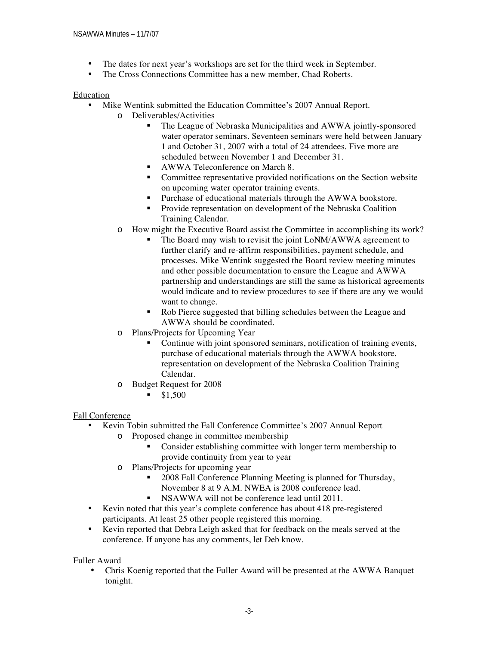- The dates for next year's workshops are set for the third week in September.
- The Cross Connections Committee has a new member, Chad Roberts.

#### Education

- Mike Wentink submitted the Education Committee's 2007 Annual Report.
	- o Deliverables/Activities
		- The League of Nebraska Municipalities and AWWA jointly-sponsored water operator seminars. Seventeen seminars were held between January 1 and October 31, 2007 with a total of 24 attendees. Five more are scheduled between November 1 and December 31.
		- **AWWA Teleconference on March 8.**
		- Committee representative provided notifications on the Section website on upcoming water operator training events.
		- **Purchase of educational materials through the AWWA bookstore.**
		- **Provide representation on development of the Nebraska Coalition** Training Calendar.
	- o How might the Executive Board assist the Committee in accomplishing its work?
		- The Board may wish to revisit the joint LoNM/AWWA agreement to further clarify and re-affirm responsibilities, payment schedule, and processes. Mike Wentink suggested the Board review meeting minutes and other possible documentation to ensure the League and AWWA partnership and understandings are still the same as historical agreements would indicate and to review procedures to see if there are any we would want to change.
		- Rob Pierce suggested that billing schedules between the League and AWWA should be coordinated.
	- o Plans/Projects for Upcoming Year
		- Continue with joint sponsored seminars, notification of training events, purchase of educational materials through the AWWA bookstore, representation on development of the Nebraska Coalition Training Calendar.
	- o Budget Request for 2008
		- $$1,500$

### Fall Conference

- Kevin Tobin submitted the Fall Conference Committee's 2007 Annual Report
	- o Proposed change in committee membership
		- Consider establishing committee with longer term membership to provide continuity from year to year
		- o Plans/Projects for upcoming year
			- **2008 Fall Conference Planning Meeting is planned for Thursday,** November 8 at 9 A.M. NWEA is 2008 conference lead.
			- NSAWWA will not be conference lead until 2011.
- Kevin noted that this year's complete conference has about 418 pre-registered participants. At least 25 other people registered this morning.
- Kevin reported that Debra Leigh asked that for feedback on the meals served at the conference. If anyone has any comments, let Deb know.

### Fuller Award

• Chris Koenig reported that the Fuller Award will be presented at the AWWA Banquet tonight.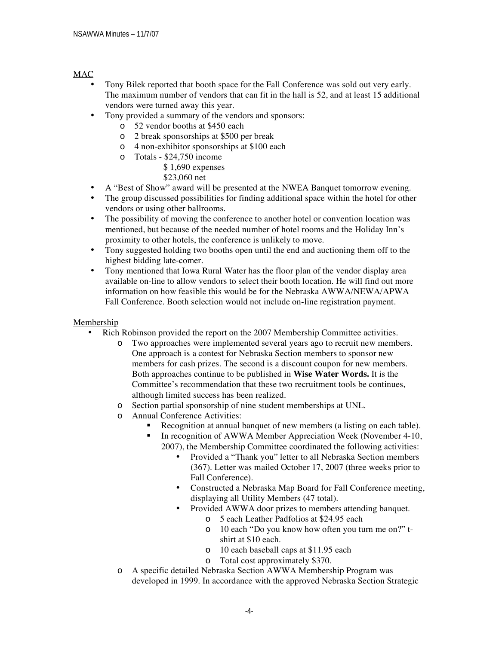### MAC

- Tony Bilek reported that booth space for the Fall Conference was sold out very early. The maximum number of vendors that can fit in the hall is 52, and at least 15 additional vendors were turned away this year.
- Tony provided a summary of the vendors and sponsors:
	- o 52 vendor booths at \$450 each
	- o 2 break sponsorships at \$500 per break
	- o 4 non-exhibitor sponsorships at \$100 each
	- o Totals \$24,750 income

## \$ 1,690 expenses

\$23,060 net

- A "Best of Show" award will be presented at the NWEA Banquet tomorrow evening.
- The group discussed possibilities for finding additional space within the hotel for other vendors or using other ballrooms.
- The possibility of moving the conference to another hotel or convention location was mentioned, but because of the needed number of hotel rooms and the Holiday Inn's proximity to other hotels, the conference is unlikely to move.
- Tony suggested holding two booths open until the end and auctioning them off to the highest bidding late-comer.
- Tony mentioned that Iowa Rural Water has the floor plan of the vendor display area available on-line to allow vendors to select their booth location. He will find out more information on how feasible this would be for the Nebraska AWWA/NEWA/APWA Fall Conference. Booth selection would not include on-line registration payment.

### Membership

- Rich Robinson provided the report on the 2007 Membership Committee activities.
	- o Two approaches were implemented several years ago to recruit new members. One approach is a contest for Nebraska Section members to sponsor new members for cash prizes. The second is a discount coupon for new members. Both approaches continue to be published in **Wise Water Words.** It is the Committee's recommendation that these two recruitment tools be continues, although limited success has been realized.
	- o Section partial sponsorship of nine student memberships at UNL.
	- o Annual Conference Activities:
		- Recognition at annual banquet of new members (a listing on each table).
		- In recognition of AWWA Member Appreciation Week (November 4-10, 2007), the Membership Committee coordinated the following activities:
			- Provided a "Thank you" letter to all Nebraska Section members (367). Letter was mailed October 17, 2007 (three weeks prior to Fall Conference).
			- Constructed a Nebraska Map Board for Fall Conference meeting, displaying all Utility Members (47 total).
			- Provided AWWA door prizes to members attending banquet.
				- o 5 each Leather Padfolios at \$24.95 each
				- o 10 each "Do you know how often you turn me on?" tshirt at \$10 each.
				- o 10 each baseball caps at \$11.95 each
				- o Total cost approximately \$370.
	- o A specific detailed Nebraska Section AWWA Membership Program was developed in 1999. In accordance with the approved Nebraska Section Strategic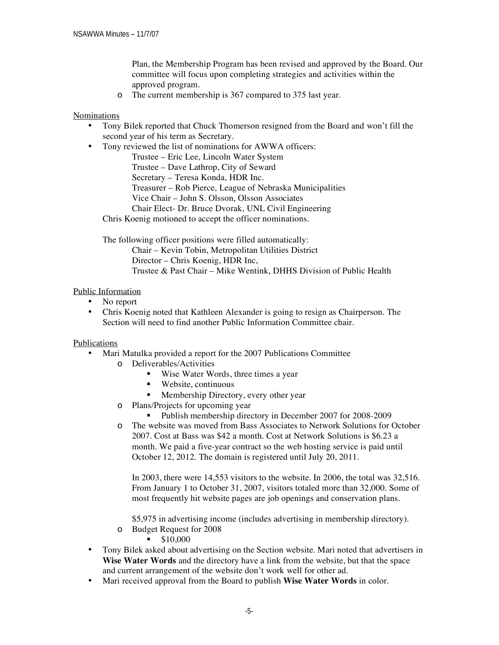Plan, the Membership Program has been revised and approved by the Board. Our committee will focus upon completing strategies and activities within the approved program.

o The current membership is 367 compared to 375 last year.

### Nominations

- Tony Bilek reported that Chuck Thomerson resigned from the Board and won't fill the second year of his term as Secretary.
- Tony reviewed the list of nominations for AWWA officers:

Trustee – Eric Lee, Lincoln Water System Trustee – Dave Lathrop, City of Seward Secretary – Teresa Konda, HDR Inc. Treasurer – Rob Pierce, League of Nebraska Municipalities Vice Chair – John S. Olsson, Olsson Associates Chair Elect- Dr. Bruce Dvorak, UNL Civil Engineering

Chris Koenig motioned to accept the officer nominations.

The following officer positions were filled automatically:

Chair – Kevin Tobin, Metropolitan Utilities District Director – Chris Koenig, HDR Inc, Trustee & Past Chair – Mike Wentink, DHHS Division of Public Health

### Public Information

- No report
- Chris Koenig noted that Kathleen Alexander is going to resign as Chairperson. The Section will need to find another Public Information Committee chair.

### Publications

- Mari Matulka provided a report for the 2007 Publications Committee
	- o Deliverables/Activities
		- Wise Water Words, three times a year
		- Website, continuous
		- **Membership Directory, every other year**
	- o Plans/Projects for upcoming year
		- **•** Publish membership directory in December 2007 for 2008-2009
	- o The website was moved from Bass Associates to Network Solutions for October 2007. Cost at Bass was \$42 a month. Cost at Network Solutions is \$6.23 a month. We paid a five-year contract so the web hosting service is paid until October 12, 2012. The domain is registered until July 20, 2011.

In 2003, there were 14,553 visitors to the website. In 2006, the total was 32,516. From January 1 to October 31, 2007, visitors totaled more than 32,000. Some of most frequently hit website pages are job openings and conservation plans.

\$5,975 in advertising income (includes advertising in membership directory).

- o Budget Request for 2008
	- $\bullet$  \$10,000
- Tony Bilek asked about advertising on the Section website. Mari noted that advertisers in **Wise Water Words** and the directory have a link from the website, but that the space and current arrangement of the website don't work well for other ad.
- Mari received approval from the Board to publish **Wise Water Words** in color.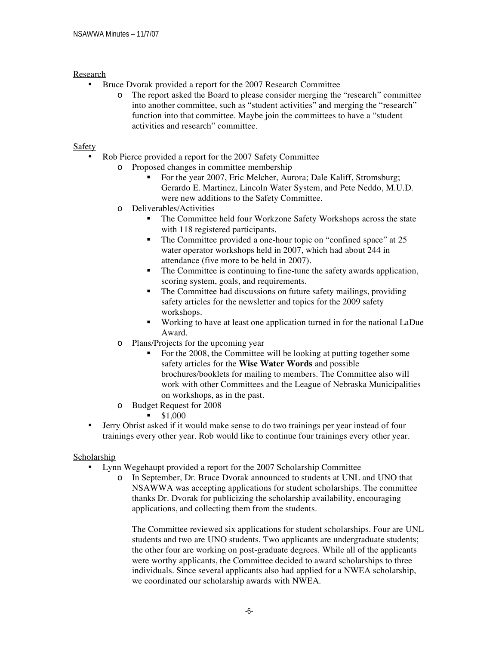### Research

- Bruce Dvorak provided a report for the 2007 Research Committee
	- o The report asked the Board to please consider merging the "research" committee into another committee, such as "student activities" and merging the "research" function into that committee. Maybe join the committees to have a "student activities and research" committee.

### Safety

- Rob Pierce provided a report for the 2007 Safety Committee
	- o Proposed changes in committee membership
		- For the year 2007, Eric Melcher, Aurora; Dale Kaliff, Stromsburg; Gerardo E. Martinez, Lincoln Water System, and Pete Neddo, M.U.D. were new additions to the Safety Committee.
	- o Deliverables/Activities
		- The Committee held four Workzone Safety Workshops across the state with 118 registered participants.
		- The Committee provided a one-hour topic on "confined space" at 25 water operator workshops held in 2007, which had about 244 in attendance (five more to be held in 2007).
		- The Committee is continuing to fine-tune the safety awards application, scoring system, goals, and requirements.
		- The Committee had discussions on future safety mailings, providing safety articles for the newsletter and topics for the 2009 safety workshops.
		- Working to have at least one application turned in for the national LaDue Award.
	- o Plans/Projects for the upcoming year
		- For the 2008, the Committee will be looking at putting together some safety articles for the **Wise Water Words** and possible brochures/booklets for mailing to members. The Committee also will work with other Committees and the League of Nebraska Municipalities on workshops, as in the past.
	- o Budget Request for 2008
		- $\blacksquare$  \$1,000
- Jerry Obrist asked if it would make sense to do two trainings per year instead of four trainings every other year. Rob would like to continue four trainings every other year.

### **Scholarship**

- Lynn Wegehaupt provided a report for the 2007 Scholarship Committee
	- o In September, Dr. Bruce Dvorak announced to students at UNL and UNO that NSAWWA was accepting applications for student scholarships. The committee thanks Dr. Dvorak for publicizing the scholarship availability, encouraging applications, and collecting them from the students.

The Committee reviewed six applications for student scholarships. Four are UNL students and two are UNO students. Two applicants are undergraduate students; the other four are working on post-graduate degrees. While all of the applicants were worthy applicants, the Committee decided to award scholarships to three individuals. Since several applicants also had applied for a NWEA scholarship, we coordinated our scholarship awards with NWEA.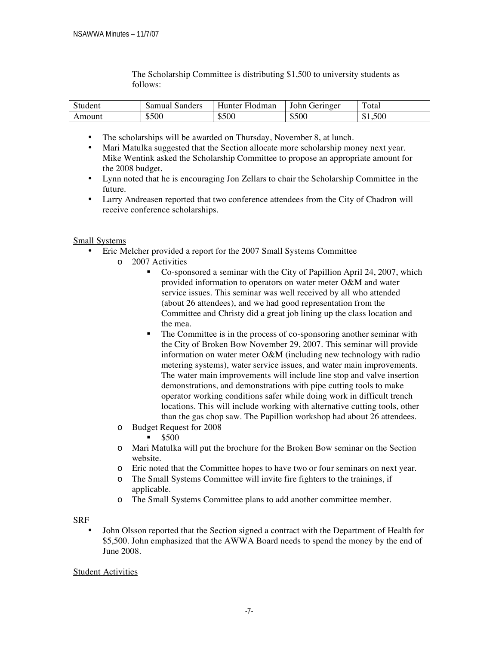| Student | Samual Sanders | Hunter<br><b>Hodman</b> | John<br><b>Jeringer</b> | $\mathbf{r}$<br>otal |
|---------|----------------|-------------------------|-------------------------|----------------------|
| Amount  | \$500          | \$500                   | \$500                   | \$1,500              |

The Scholarship Committee is distributing \$1,500 to university students as follows:

- The scholarships will be awarded on Thursday, November 8, at lunch.
- Mari Matulka suggested that the Section allocate more scholarship money next year. Mike Wentink asked the Scholarship Committee to propose an appropriate amount for the 2008 budget.
- Lynn noted that he is encouraging Jon Zellars to chair the Scholarship Committee in the future.
- Larry Andreasen reported that two conference attendees from the City of Chadron will receive conference scholarships.

Small Systems

- Eric Melcher provided a report for the 2007 Small Systems Committee
	- o 2007 Activities
		- Co-sponsored a seminar with the City of Papillion April 24, 2007, which provided information to operators on water meter O&M and water service issues. This seminar was well received by all who attended (about 26 attendees), and we had good representation from the Committee and Christy did a great job lining up the class location and the mea.
		- The Committee is in the process of co-sponsoring another seminar with the City of Broken Bow November 29, 2007. This seminar will provide information on water meter O&M (including new technology with radio metering systems), water service issues, and water main improvements. The water main improvements will include line stop and valve insertion demonstrations, and demonstrations with pipe cutting tools to make operator working conditions safer while doing work in difficult trench locations. This will include working with alternative cutting tools, other than the gas chop saw. The Papillion workshop had about 26 attendees.
	- o Budget Request for 2008
		- \$500
	- o Mari Matulka will put the brochure for the Broken Bow seminar on the Section website.
	- o Eric noted that the Committee hopes to have two or four seminars on next year.
	- o The Small Systems Committee will invite fire fighters to the trainings, if applicable.
	- o The Small Systems Committee plans to add another committee member.

### SRF

• John Olsson reported that the Section signed a contract with the Department of Health for \$5,500. John emphasized that the AWWA Board needs to spend the money by the end of June 2008.

### Student Activities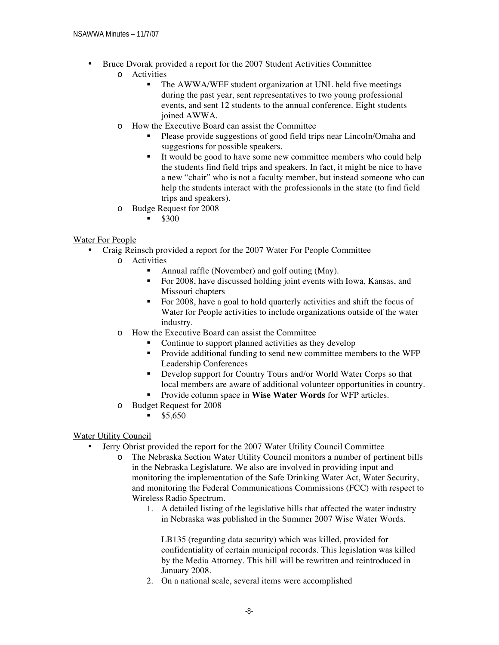- Bruce Dvorak provided a report for the 2007 Student Activities Committee
	- o Activities
		- The AWWA/WEF student organization at UNL held five meetings during the past year, sent representatives to two young professional events, and sent 12 students to the annual conference. Eight students joined AWWA.
	- o How the Executive Board can assist the Committee
		- Please provide suggestions of good field trips near Lincoln/Omaha and suggestions for possible speakers.
		- It would be good to have some new committee members who could help the students find field trips and speakers. In fact, it might be nice to have a new "chair" who is not a faculty member, but instead someone who can help the students interact with the professionals in the state (to find field trips and speakers).
	- o Budge Request for 2008
		- $-$ \$300

### Water For People

- Craig Reinsch provided a report for the 2007 Water For People Committee
	- o Activities
		- Annual raffle (November) and golf outing (May).
		- For 2008, have discussed holding joint events with Iowa, Kansas, and Missouri chapters
		- For 2008, have a goal to hold quarterly activities and shift the focus of Water for People activities to include organizations outside of the water industry.
	- o How the Executive Board can assist the Committee
		- Continue to support planned activities as they develop
		- Provide additional funding to send new committee members to the WFP Leadership Conferences
		- Develop support for Country Tours and/or World Water Corps so that local members are aware of additional volunteer opportunities in country.
		- Provide column space in **Wise Water Words** for WFP articles.
	- o Budget Request for 2008
		- $\blacksquare$  \$5,650

### Water Utility Council

- Jerry Obrist provided the report for the 2007 Water Utility Council Committee
	- o The Nebraska Section Water Utility Council monitors a number of pertinent bills in the Nebraska Legislature. We also are involved in providing input and monitoring the implementation of the Safe Drinking Water Act, Water Security, and monitoring the Federal Communications Commissions (FCC) with respect to Wireless Radio Spectrum.
		- 1. A detailed listing of the legislative bills that affected the water industry in Nebraska was published in the Summer 2007 Wise Water Words.

LB135 (regarding data security) which was killed, provided for confidentiality of certain municipal records. This legislation was killed by the Media Attorney. This bill will be rewritten and reintroduced in January 2008.

2. On a national scale, several items were accomplished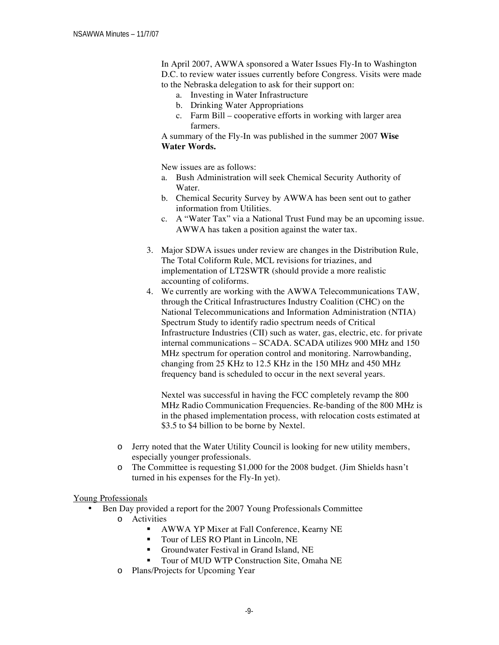In April 2007, AWWA sponsored a Water Issues Fly-In to Washington D.C. to review water issues currently before Congress. Visits were made to the Nebraska delegation to ask for their support on:

- a. Investing in Water Infrastructure
- b. Drinking Water Appropriations
- c. Farm Bill cooperative efforts in working with larger area farmers.

A summary of the Fly-In was published in the summer 2007 **Wise Water Words.** 

New issues are as follows:

- a. Bush Administration will seek Chemical Security Authority of Water.
- b. Chemical Security Survey by AWWA has been sent out to gather information from Utilities.
- c. A "Water Tax" via a National Trust Fund may be an upcoming issue. AWWA has taken a position against the water tax.
- 3. Major SDWA issues under review are changes in the Distribution Rule, The Total Coliform Rule, MCL revisions for triazines, and implementation of LT2SWTR (should provide a more realistic accounting of coliforms.
- 4. We currently are working with the AWWA Telecommunications TAW, through the Critical Infrastructures Industry Coalition (CHC) on the National Telecommunications and Information Administration (NTIA) Spectrum Study to identify radio spectrum needs of Critical Infrastructure Industries (CII) such as water, gas, electric, etc. for private internal communications – SCADA. SCADA utilizes 900 MHz and 150 MHz spectrum for operation control and monitoring. Narrowbanding, changing from 25 KHz to 12.5 KHz in the 150 MHz and 450 MHz frequency band is scheduled to occur in the next several years.

Nextel was successful in having the FCC completely revamp the 800 MHz Radio Communication Frequencies. Re-banding of the 800 MHz is in the phased implementation process, with relocation costs estimated at \$3.5 to \$4 billion to be borne by Nextel.

- o Jerry noted that the Water Utility Council is looking for new utility members, especially younger professionals.
- o The Committee is requesting \$1,000 for the 2008 budget. (Jim Shields hasn't turned in his expenses for the Fly-In yet).

### Young Professionals

- Ben Day provided a report for the 2007 Young Professionals Committee o Activities
	- AWWA YP Mixer at Fall Conference, Kearny NE
	- Tour of LES RO Plant in Lincoln, NE
	- Groundwater Festival in Grand Island, NE
	- Tour of MUD WTP Construction Site, Omaha NE
	- o Plans/Projects for Upcoming Year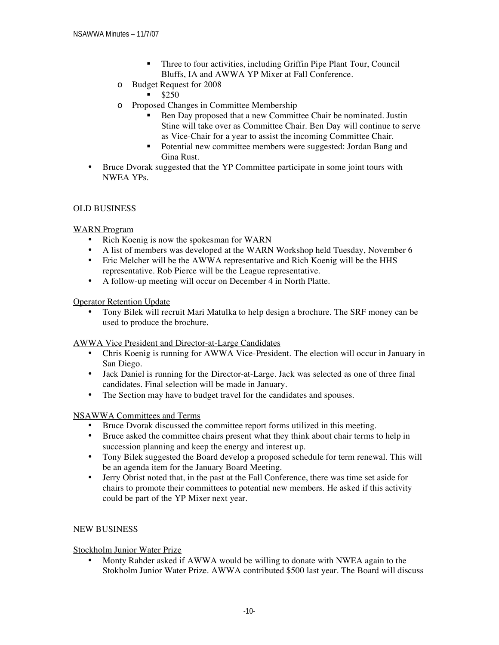- **Three to four activities, including Griffin Pipe Plant Tour, Council** Bluffs, IA and AWWA YP Mixer at Fall Conference.
- o Budget Request for 2008
	- $$250$
- o Proposed Changes in Committee Membership
	- Ben Day proposed that a new Committee Chair be nominated. Justin Stine will take over as Committee Chair. Ben Day will continue to serve as Vice-Chair for a year to assist the incoming Committee Chair.
	- Potential new committee members were suggested: Jordan Bang and Gina Rust.
- Bruce Dvorak suggested that the YP Committee participate in some joint tours with NWEA YPs.

### OLD BUSINESS

### WARN Program

- Rich Koenig is now the spokesman for WARN
- A list of members was developed at the WARN Workshop held Tuesday, November 6
- Eric Melcher will be the AWWA representative and Rich Koenig will be the HHS representative. Rob Pierce will be the League representative.
- A follow-up meeting will occur on December 4 in North Platte.

### Operator Retention Update

• Tony Bilek will recruit Mari Matulka to help design a brochure. The SRF money can be used to produce the brochure.

### AWWA Vice President and Director-at-Large Candidates

- Chris Koenig is running for AWWA Vice-President. The election will occur in January in San Diego.
- Jack Daniel is running for the Director-at-Large. Jack was selected as one of three final candidates. Final selection will be made in January.
- The Section may have to budget travel for the candidates and spouses.

### NSAWWA Committees and Terms

- Bruce Dvorak discussed the committee report forms utilized in this meeting.
- Bruce asked the committee chairs present what they think about chair terms to help in succession planning and keep the energy and interest up.
- Tony Bilek suggested the Board develop a proposed schedule for term renewal. This will be an agenda item for the January Board Meeting.
- Jerry Obrist noted that, in the past at the Fall Conference, there was time set aside for chairs to promote their committees to potential new members. He asked if this activity could be part of the YP Mixer next year.

### NEW BUSINESS

### Stockholm Junior Water Prize

• Monty Rahder asked if AWWA would be willing to donate with NWEA again to the Stokholm Junior Water Prize. AWWA contributed \$500 last year. The Board will discuss